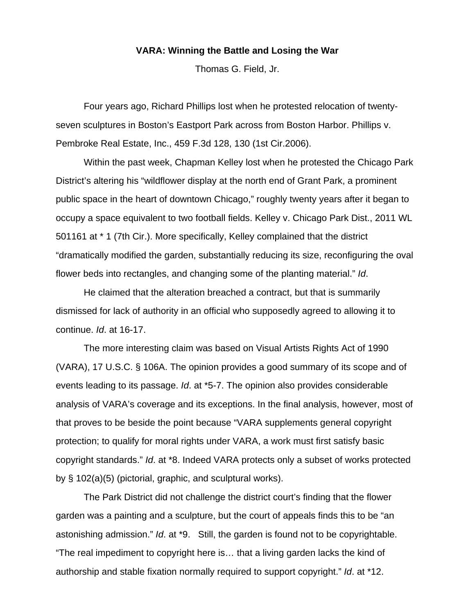## **VARA: Winning the Battle and Losing the War**

Thomas G. Field, Jr.

 Four years ago, Richard Phillips lost when he protested relocation of twentyseven sculptures in Boston's Eastport Park across from Boston Harbor. Phillips v. Pembroke Real Estate, Inc., 459 F.3d 128, 130 (1st Cir.2006).

 Within the past week, Chapman Kelley lost when he protested the Chicago Park District's altering his "wildflower display at the north end of Grant Park, a prominent public space in the heart of downtown Chicago," roughly twenty years after it began to occupy a space equivalent to two football fields. Kelley v. Chicago Park Dist., 2011 WL 501161 at \* 1 (7th Cir.). More specifically, Kelley complained that the district "dramatically modified the garden, substantially reducing its size, reconfiguring the oval flower beds into rectangles, and changing some of the planting material." *Id*.

 He claimed that the alteration breached a contract, but that is summarily dismissed for lack of authority in an official who supposedly agreed to allowing it to continue. *Id*. at 16-17.

 The more interesting claim was based on Visual Artists Rights Act of 1990 (VARA), 17 U.S.C. § 106A. The opinion provides a good summary of its scope and of events leading to its passage. *Id*. at \*5-7. The opinion also provides considerable analysis of VARA's coverage and its exceptions. In the final analysis, however, most of that proves to be beside the point because "VARA supplements general copyright protection; to qualify for moral rights under VARA, a work must first satisfy basic copyright standards." *Id*. at \*8. Indeed VARA protects only a subset of works protected by § 102(a)(5) (pictorial, graphic, and sculptural works).

 The Park District did not challenge the district court's finding that the flower garden was a painting and a sculpture, but the court of appeals finds this to be "an astonishing admission." *Id*. at \*9. Still, the garden is found not to be copyrightable. "The real impediment to copyright here is… that a living garden lacks the kind of authorship and stable fixation normally required to support copyright." *Id*. at \*12.